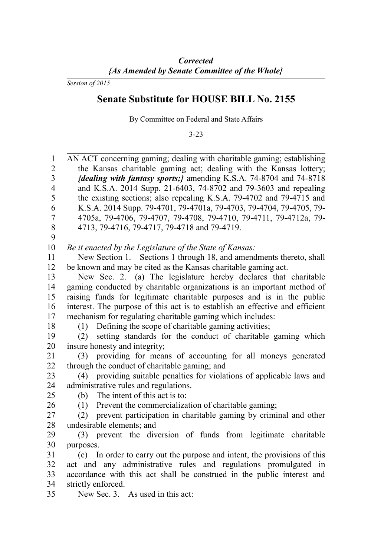*Session of 2015*

## **Senate Substitute for HOUSE BILL No. 2155**

By Committee on Federal and State Affairs

3-23

| $\mathbf{1}$            | AN ACT concerning gaming; dealing with charitable gaming; establishing       |
|-------------------------|------------------------------------------------------------------------------|
| $\overline{c}$          | the Kansas charitable gaming act; dealing with the Kansas lottery;           |
| $\overline{\mathbf{3}}$ | {dealing with fantasy sports;} amending K.S.A. 74-8704 and 74-8718           |
| $\overline{4}$          | and K.S.A. 2014 Supp. 21-6403, 74-8702 and 79-3603 and repealing             |
| 5                       | the existing sections; also repealing K.S.A. 79-4702 and 79-4715 and         |
| 6                       | K.S.A. 2014 Supp. 79-4701, 79-4701a, 79-4703, 79-4704, 79-4705, 79-          |
| $\overline{7}$          | 4705a, 79-4706, 79-4707, 79-4708, 79-4710, 79-4711, 79-4712a, 79-            |
| 8                       | 4713, 79-4716, 79-4717, 79-4718 and 79-4719.                                 |
| 9                       |                                                                              |
| 10                      | Be it enacted by the Legislature of the State of Kansas:                     |
| 11                      | New Section 1. Sections 1 through 18, and amendments thereto, shall          |
| 12                      | be known and may be cited as the Kansas charitable gaming act.               |
| 13                      | New Sec. 2. (a) The legislature hereby declares that charitable              |
| 14                      | gaming conducted by charitable organizations is an important method of       |
| 15                      | raising funds for legitimate charitable purposes and is in the public        |
| 16                      | interest. The purpose of this act is to establish an effective and efficient |
| 17                      | mechanism for regulating charitable gaming which includes:                   |
| $18\,$                  | (1) Defining the scope of charitable gaming activities;                      |
| 19                      | setting standards for the conduct of charitable gaming which<br>(2)          |
| 20                      | insure honesty and integrity;                                                |
| 21                      | providing for means of accounting for all moneys generated<br>(3)            |
| 22                      | through the conduct of charitable gaming; and                                |
| 23                      | providing suitable penalties for violations of applicable laws and<br>(4)    |
| 24                      | administrative rules and regulations.                                        |
| 25                      | (b) The intent of this act is to:                                            |
| 26                      | (1) Prevent the commercialization of charitable gaming;                      |
| 27                      | prevent participation in charitable gaming by criminal and other<br>(2)      |
| $28\,$                  | undesirable elements; and                                                    |
| 29                      | (3) prevent the diversion of funds from legitimate charitable                |
| 30                      | purposes.                                                                    |
| 31                      | (c) In order to carry out the purpose and intent, the provisions of this     |
| 32                      | act and any administrative rules and regulations promulgated in              |
| 33                      | accordance with this act shall be construed in the public interest and       |
| 34                      | strictly enforced.                                                           |
| 35                      | New Sec. 3. As used in this act:                                             |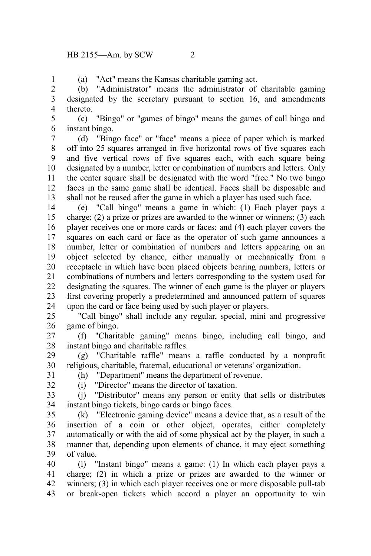1

(a) "Act" means the Kansas charitable gaming act.

(b) "Administrator" means the administrator of charitable gaming designated by the secretary pursuant to section 16, and amendments thereto. 2 3 4

(c) "Bingo" or "games of bingo" means the games of call bingo and instant bingo. 5 6

(d) "Bingo face" or "face" means a piece of paper which is marked off into 25 squares arranged in five horizontal rows of five squares each and five vertical rows of five squares each, with each square being designated by a number, letter or combination of numbers and letters. Only the center square shall be designated with the word "free." No two bingo faces in the same game shall be identical. Faces shall be disposable and shall not be reused after the game in which a player has used such face. 7 8 9 10 11 12 13

(e) "Call bingo" means a game in which: (1) Each player pays a charge; (2) a prize or prizes are awarded to the winner or winners; (3) each player receives one or more cards or faces; and (4) each player covers the squares on each card or face as the operator of such game announces a number, letter or combination of numbers and letters appearing on an object selected by chance, either manually or mechanically from a receptacle in which have been placed objects bearing numbers, letters or combinations of numbers and letters corresponding to the system used for designating the squares. The winner of each game is the player or players first covering properly a predetermined and announced pattern of squares upon the card or face being used by such player or players. 14 15 16 17 18 19 20 21 22 23 24

"Call bingo" shall include any regular, special, mini and progressive game of bingo. 25 26

(f) "Charitable gaming" means bingo, including call bingo, and instant bingo and charitable raffles. 27 28

(g) "Charitable raffle" means a raffle conducted by a nonprofit religious, charitable, fraternal, educational or veterans' organization. (h) "Department" means the department of revenue. 29 30

31 32

(i) "Director" means the director of taxation.

(j) "Distributor" means any person or entity that sells or distributes instant bingo tickets, bingo cards or bingo faces. 33 34

(k) "Electronic gaming device" means a device that, as a result of the insertion of a coin or other object, operates, either completely automatically or with the aid of some physical act by the player, in such a manner that, depending upon elements of chance, it may eject something of value. 35 36 37 38 39

(l) "Instant bingo" means a game: (1) In which each player pays a charge; (2) in which a prize or prizes are awarded to the winner or winners; (3) in which each player receives one or more disposable pull-tab or break-open tickets which accord a player an opportunity to win 40 41 42 43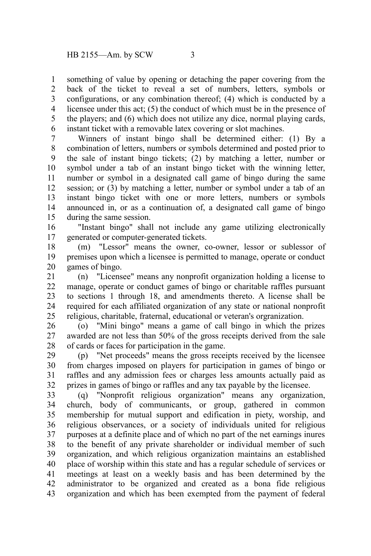something of value by opening or detaching the paper covering from the back of the ticket to reveal a set of numbers, letters, symbols or configurations, or any combination thereof; (4) which is conducted by a licensee under this act; (5) the conduct of which must be in the presence of the players; and (6) which does not utilize any dice, normal playing cards, instant ticket with a removable latex covering or slot machines. 1 2 3 4 5 6

Winners of instant bingo shall be determined either: (1) By a combination of letters, numbers or symbols determined and posted prior to the sale of instant bingo tickets; (2) by matching a letter, number or symbol under a tab of an instant bingo ticket with the winning letter, number or symbol in a designated call game of bingo during the same session; or (3) by matching a letter, number or symbol under a tab of an instant bingo ticket with one or more letters, numbers or symbols announced in, or as a continuation of, a designated call game of bingo during the same session. 7 8 9 10 11 12 13 14 15

"Instant bingo" shall not include any game utilizing electronically generated or computer-generated tickets. 16 17

(m) "Lessor" means the owner, co-owner, lessor or sublessor of premises upon which a licensee is permitted to manage, operate or conduct games of bingo. 18 19 20

(n) "Licensee" means any nonprofit organization holding a license to manage, operate or conduct games of bingo or charitable raffles pursuant to sections 1 through 18, and amendments thereto. A license shall be required for each affiliated organization of any state or national nonprofit religious, charitable, fraternal, educational or veteran's orgranization. 21 22 23 24 25

(o) "Mini bingo" means a game of call bingo in which the prizes awarded are not less than 50% of the gross receipts derived from the sale of cards or faces for participation in the game. 26 27 28

(p) "Net proceeds" means the gross receipts received by the licensee from charges imposed on players for participation in games of bingo or raffles and any admission fees or charges less amounts actually paid as prizes in games of bingo or raffles and any tax payable by the licensee. 29 30 31 32

(q) "Nonprofit religious organization" means any organization, church, body of communicants, or group, gathered in common membership for mutual support and edification in piety, worship, and religious observances, or a society of individuals united for religious purposes at a definite place and of which no part of the net earnings inures to the benefit of any private shareholder or individual member of such organization, and which religious organization maintains an established place of worship within this state and has a regular schedule of services or meetings at least on a weekly basis and has been determined by the administrator to be organized and created as a bona fide religious organization and which has been exempted from the payment of federal 33 34 35 36 37 38 39 40 41 42 43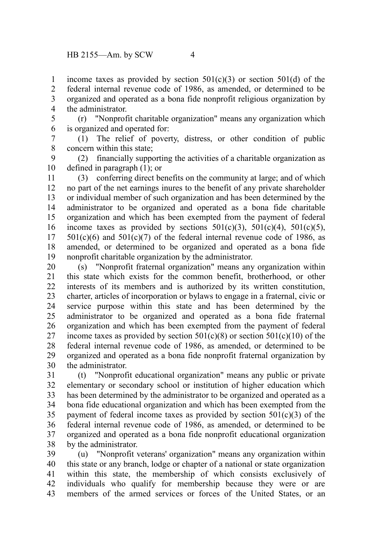income taxes as provided by section  $501(c)(3)$  or section  $501(d)$  of the federal internal revenue code of 1986, as amended, or determined to be organized and operated as a bona fide nonprofit religious organization by the administrator. 1 2 3 4

(r) "Nonprofit charitable organization" means any organization which is organized and operated for: 5 6

(1) The relief of poverty, distress, or other condition of public concern within this state; 7 8

(2) financially supporting the activities of a charitable organization as defined in paragraph (1); or 9 10

(3) conferring direct benefits on the community at large; and of which no part of the net earnings inures to the benefit of any private shareholder or individual member of such organization and has been determined by the administrator to be organized and operated as a bona fide charitable organization and which has been exempted from the payment of federal income taxes as provided by sections  $501(c)(3)$ ,  $501(c)(4)$ ,  $501(c)(5)$ ,  $501(c)(6)$  and  $501(c)(7)$  of the federal internal revenue code of 1986, as amended, or determined to be organized and operated as a bona fide nonprofit charitable organization by the administrator. 11 12 13 14 15 16 17 18 19

(s) "Nonprofit fraternal organization" means any organization within this state which exists for the common benefit, brotherhood, or other interests of its members and is authorized by its written constitution, charter, articles of incorporation or bylaws to engage in a fraternal, civic or service purpose within this state and has been determined by the administrator to be organized and operated as a bona fide fraternal organization and which has been exempted from the payment of federal income taxes as provided by section  $501(c)(8)$  or section  $501(c)(10)$  of the federal internal revenue code of 1986, as amended, or determined to be organized and operated as a bona fide nonprofit fraternal organization by the administrator. 20 21 22 23 24 25 26 27 28 29 30

(t) "Nonprofit educational organization" means any public or private elementary or secondary school or institution of higher education which has been determined by the administrator to be organized and operated as a bona fide educational organization and which has been exempted from the payment of federal income taxes as provided by section  $501(c)(3)$  of the federal internal revenue code of 1986, as amended, or determined to be organized and operated as a bona fide nonprofit educational organization by the administrator. 31 32 33 34 35 36 37 38

(u) "Nonprofit veterans' organization" means any organization within this state or any branch, lodge or chapter of a national or state organization within this state, the membership of which consists exclusively of individuals who qualify for membership because they were or are members of the armed services or forces of the United States, or an 39 40 41 42 43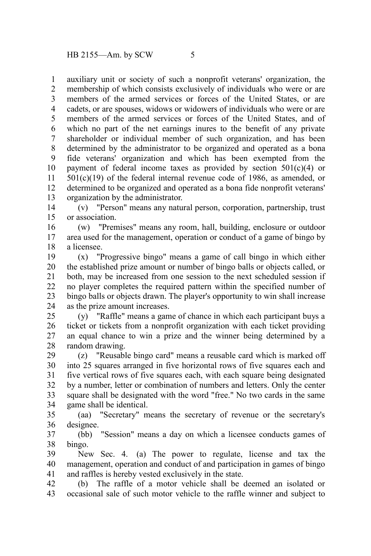auxiliary unit or society of such a nonprofit veterans' organization, the membership of which consists exclusively of individuals who were or are members of the armed services or forces of the United States, or are cadets, or are spouses, widows or widowers of individuals who were or are members of the armed services or forces of the United States, and of which no part of the net earnings inures to the benefit of any private shareholder or individual member of such organization, and has been determined by the administrator to be organized and operated as a bona fide veterans' organization and which has been exempted from the payment of federal income taxes as provided by section  $501(c)(4)$  or  $501(c)(19)$  of the federal internal revenue code of 1986, as amended, or determined to be organized and operated as a bona fide nonprofit veterans' organization by the administrator. 1 2 3 4 5 6 7 8 9 10 11 12 13

(v) "Person" means any natural person, corporation, partnership, trust or association. 14 15

(w) "Premises" means any room, hall, building, enclosure or outdoor area used for the management, operation or conduct of a game of bingo by a licensee. 16 17 18

(x) "Progressive bingo" means a game of call bingo in which either the established prize amount or number of bingo balls or objects called, or both, may be increased from one session to the next scheduled session if no player completes the required pattern within the specified number of bingo balls or objects drawn. The player's opportunity to win shall increase as the prize amount increases. 19 20 21 22 23 24

(y) "Raffle" means a game of chance in which each participant buys a ticket or tickets from a nonprofit organization with each ticket providing an equal chance to win a prize and the winner being determined by a random drawing. 25 26 27 28

(z) "Reusable bingo card" means a reusable card which is marked off into 25 squares arranged in five horizontal rows of five squares each and five vertical rows of five squares each, with each square being designated by a number, letter or combination of numbers and letters. Only the center square shall be designated with the word "free." No two cards in the same game shall be identical. 29 30 31 32 33 34

(aa) "Secretary" means the secretary of revenue or the secretary's designee. 35 36

(bb) "Session" means a day on which a licensee conducts games of bingo. 37 38

New Sec. 4. (a) The power to regulate, license and tax the management, operation and conduct of and participation in games of bingo and raffles is hereby vested exclusively in the state. 39 40 41

(b) The raffle of a motor vehicle shall be deemed an isolated or occasional sale of such motor vehicle to the raffle winner and subject to 42 43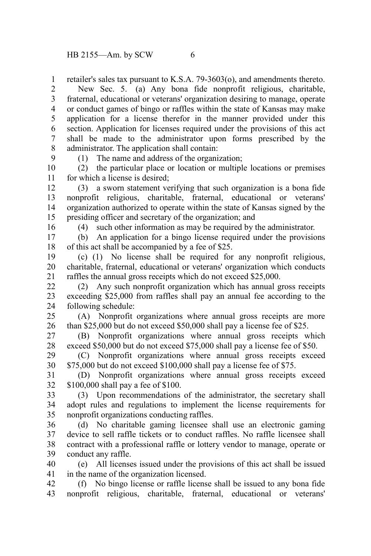retailer's sales tax pursuant to K.S.A. 79-3603(o), and amendments thereto. New Sec. 5. (a) Any bona fide nonprofit religious, charitable, fraternal, educational or veterans' organization desiring to manage, operate or conduct games of bingo or raffles within the state of Kansas may make application for a license therefor in the manner provided under this section. Application for licenses required under the provisions of this act shall be made to the administrator upon forms prescribed by the administrator. The application shall contain: 1 2 3 4 5 6 7 8

 $\mathbf{Q}$ 

(1) The name and address of the organization;

(2) the particular place or location or multiple locations or premises for which a license is desired; 10 11

(3) a sworn statement verifying that such organization is a bona fide nonprofit religious, charitable, fraternal, educational or veterans' organization authorized to operate within the state of Kansas signed by the presiding officer and secretary of the organization; and 12 13 14 15

16

(4) such other information as may be required by the administrator.

(b) An application for a bingo license required under the provisions of this act shall be accompanied by a fee of \$25. 17 18

(c) (1) No license shall be required for any nonprofit religious, charitable, fraternal, educational or veterans' organization which conducts raffles the annual gross receipts which do not exceed \$25,000. 19 20 21

(2) Any such nonprofit organization which has annual gross receipts exceeding \$25,000 from raffles shall pay an annual fee according to the following schedule: 22 23 24

(A) Nonprofit organizations where annual gross receipts are more than \$25,000 but do not exceed \$50,000 shall pay a license fee of \$25. 25 26

(B) Nonprofit organizations where annual gross receipts which exceed \$50,000 but do not exceed \$75,000 shall pay a license fee of \$50. 27 28

(C) Nonprofit organizations where annual gross receipts exceed \$75,000 but do not exceed \$100,000 shall pay a license fee of \$75. 29 30

(D) Nonprofit organizations where annual gross receipts exceed \$100,000 shall pay a fee of \$100. 31 32

(3) Upon recommendations of the administrator, the secretary shall adopt rules and regulations to implement the license requirements for nonprofit organizations conducting raffles. 33 34 35

(d) No charitable gaming licensee shall use an electronic gaming device to sell raffle tickets or to conduct raffles. No raffle licensee shall contract with a professional raffle or lottery vendor to manage, operate or conduct any raffle. 36 37 38 39

(e) All licenses issued under the provisions of this act shall be issued in the name of the organization licensed. 40 41

(f) No bingo license or raffle license shall be issued to any bona fide nonprofit religious, charitable, fraternal, educational or veterans' 42 43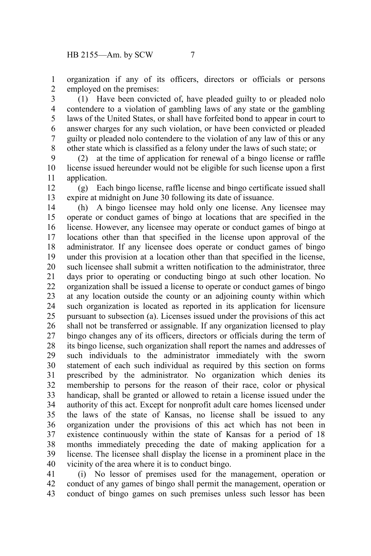organization if any of its officers, directors or officials or persons employed on the premises: 1 2

(1) Have been convicted of, have pleaded guilty to or pleaded nolo contendere to a violation of gambling laws of any state or the gambling laws of the United States, or shall have forfeited bond to appear in court to answer charges for any such violation, or have been convicted or pleaded guilty or pleaded nolo contendere to the violation of any law of this or any other state which is classified as a felony under the laws of such state; or 3 4 5 6 7 8

(2) at the time of application for renewal of a bingo license or raffle license issued hereunder would not be eligible for such license upon a first application. 9 10 11

(g) Each bingo license, raffle license and bingo certificate issued shall expire at midnight on June 30 following its date of issuance. 12 13

(h) A bingo licensee may hold only one license. Any licensee may operate or conduct games of bingo at locations that are specified in the license. However, any licensee may operate or conduct games of bingo at locations other than that specified in the license upon approval of the administrator. If any licensee does operate or conduct games of bingo under this provision at a location other than that specified in the license, such licensee shall submit a written notification to the administrator, three days prior to operating or conducting bingo at such other location. No organization shall be issued a license to operate or conduct games of bingo at any location outside the county or an adjoining county within which such organization is located as reported in its application for licensure pursuant to subsection (a). Licenses issued under the provisions of this act shall not be transferred or assignable. If any organization licensed to play bingo changes any of its officers, directors or officials during the term of its bingo license, such organization shall report the names and addresses of such individuals to the administrator immediately with the sworn statement of each such individual as required by this section on forms prescribed by the administrator. No organization which denies its membership to persons for the reason of their race, color or physical handicap, shall be granted or allowed to retain a license issued under the authority of this act. Except for nonprofit adult care homes licensed under the laws of the state of Kansas, no license shall be issued to any organization under the provisions of this act which has not been in existence continuously within the state of Kansas for a period of 18 months immediately preceding the date of making application for a license. The licensee shall display the license in a prominent place in the vicinity of the area where it is to conduct bingo. 14 15 16 17 18 19 20 21 22 23 24 25 26 27 28 29 30 31 32 33 34 35 36 37 38 39 40

(i) No lessor of premises used for the management, operation or conduct of any games of bingo shall permit the management, operation or conduct of bingo games on such premises unless such lessor has been 41 42 43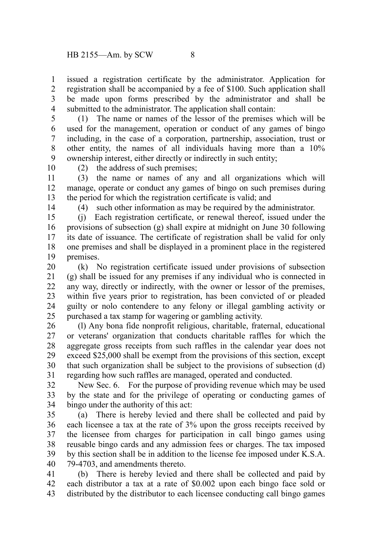issued a registration certificate by the administrator. Application for registration shall be accompanied by a fee of \$100. Such application shall be made upon forms prescribed by the administrator and shall be submitted to the administrator. The application shall contain: 1 2 3 4

(1) The name or names of the lessor of the premises which will be used for the management, operation or conduct of any games of bingo including, in the case of a corporation, partnership, association, trust or other entity, the names of all individuals having more than a 10% ownership interest, either directly or indirectly in such entity; 5 6 7 8 9

10

(2) the address of such premises;

(3) the name or names of any and all organizations which will manage, operate or conduct any games of bingo on such premises during the period for which the registration certificate is valid; and 11 12 13

14

(4) such other information as may be required by the administrator.

(j) Each registration certificate, or renewal thereof, issued under the provisions of subsection (g) shall expire at midnight on June 30 following its date of issuance. The certificate of registration shall be valid for only one premises and shall be displayed in a prominent place in the registered premises. 15 16 17 18 19

(k) No registration certificate issued under provisions of subsection (g) shall be issued for any premises if any individual who is connected in any way, directly or indirectly, with the owner or lessor of the premises, within five years prior to registration, has been convicted of or pleaded guilty or nolo contendere to any felony or illegal gambling activity or purchased a tax stamp for wagering or gambling activity. 20 21 22 23 24 25

(l) Any bona fide nonprofit religious, charitable, fraternal, educational or veterans' organization that conducts charitable raffles for which the aggregate gross receipts from such raffles in the calendar year does not exceed \$25,000 shall be exempt from the provisions of this section, except that such organization shall be subject to the provisions of subsection (d) regarding how such raffles are managed, operated and conducted. 26 27 28 29 30 31

New Sec. 6. For the purpose of providing revenue which may be used by the state and for the privilege of operating or conducting games of bingo under the authority of this act: 32 33 34

(a) There is hereby levied and there shall be collected and paid by each licensee a tax at the rate of 3% upon the gross receipts received by the licensee from charges for participation in call bingo games using reusable bingo cards and any admission fees or charges. The tax imposed by this section shall be in addition to the license fee imposed under K.S.A. 79-4703, and amendments thereto. 35 36 37 38 39 40

(b) There is hereby levied and there shall be collected and paid by each distributor a tax at a rate of \$0.002 upon each bingo face sold or distributed by the distributor to each licensee conducting call bingo games 41 42 43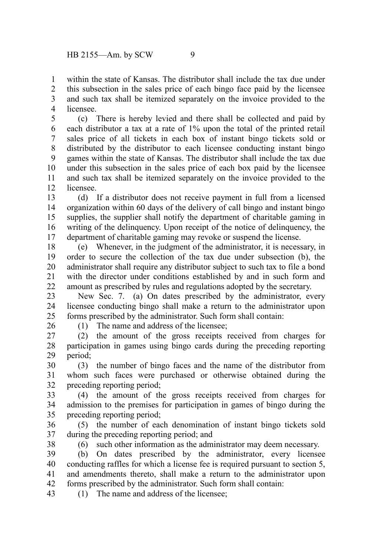within the state of Kansas. The distributor shall include the tax due under this subsection in the sales price of each bingo face paid by the licensee and such tax shall be itemized separately on the invoice provided to the licensee. 1 2 3 4

(c) There is hereby levied and there shall be collected and paid by each distributor a tax at a rate of 1% upon the total of the printed retail sales price of all tickets in each box of instant bingo tickets sold or distributed by the distributor to each licensee conducting instant bingo games within the state of Kansas. The distributor shall include the tax due under this subsection in the sales price of each box paid by the licensee and such tax shall be itemized separately on the invoice provided to the licensee. 5 6 7 8 9 10 11 12

(d) If a distributor does not receive payment in full from a licensed organization within 60 days of the delivery of call bingo and instant bingo supplies, the supplier shall notify the department of charitable gaming in writing of the delinquency. Upon receipt of the notice of delinquency, the department of charitable gaming may revoke or suspend the license. 13 14 15 16 17

(e) Whenever, in the judgment of the administrator, it is necessary, in order to secure the collection of the tax due under subsection (b), the administrator shall require any distributor subject to such tax to file a bond with the director under conditions established by and in such form and amount as prescribed by rules and regulations adopted by the secretary. 18 19 20 21 22

New Sec. 7. (a) On dates prescribed by the administrator, every licensee conducting bingo shall make a return to the administrator upon forms prescribed by the administrator. Such form shall contain: 23 24 25

26

(1) The name and address of the licensee;

(2) the amount of the gross receipts received from charges for participation in games using bingo cards during the preceding reporting period; 27 28 29

(3) the number of bingo faces and the name of the distributor from whom such faces were purchased or otherwise obtained during the preceding reporting period; 30 31 32

(4) the amount of the gross receipts received from charges for admission to the premises for participation in games of bingo during the preceding reporting period; 33 34 35

(5) the number of each denomination of instant bingo tickets sold during the preceding reporting period; and 36 37

38

(6) such other information as the administrator may deem necessary.

(b) On dates prescribed by the administrator, every licensee conducting raffles for which a license fee is required pursuant to section 5, and amendments thereto, shall make a return to the administrator upon forms prescribed by the administrator. Such form shall contain: 39 40 41 42

(1) The name and address of the licensee; 43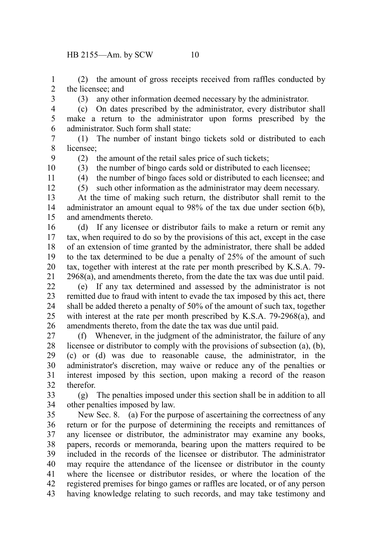(2) the amount of gross receipts received from raffles conducted by the licensee; and 1 2

- 
- 3 4

(3) any other information deemed necessary by the administrator.

(c) On dates prescribed by the administrator, every distributor shall make a return to the administrator upon forms prescribed by the administrator. Such form shall state: 5 6

(1) The number of instant bingo tickets sold or distributed to each licensee; 7 8

(2) the amount of the retail sales price of such tickets;

9 10

(3) the number of bingo cards sold or distributed to each licensee;

11 12 (4) the number of bingo faces sold or distributed to each licensee; and (5) such other information as the administrator may deem necessary.

At the time of making such return, the distributor shall remit to the administrator an amount equal to 98% of the tax due under section 6(b), and amendments thereto. 13 14 15

(d) If any licensee or distributor fails to make a return or remit any tax, when required to do so by the provisions of this act, except in the case of an extension of time granted by the administrator, there shall be added to the tax determined to be due a penalty of 25% of the amount of such tax, together with interest at the rate per month prescribed by K.S.A. 79- 2968(a), and amendments thereto, from the date the tax was due until paid. 16 17 18 19 20 21

(e) If any tax determined and assessed by the administrator is not remitted due to fraud with intent to evade the tax imposed by this act, there shall be added thereto a penalty of 50% of the amount of such tax, together with interest at the rate per month prescribed by K.S.A. 79-2968(a), and amendments thereto, from the date the tax was due until paid. 22 23 24 25 26

(f) Whenever, in the judgment of the administrator, the failure of any licensee or distributor to comply with the provisions of subsection (a), (b), (c) or (d) was due to reasonable cause, the administrator, in the administrator's discretion, may waive or reduce any of the penalties or interest imposed by this section, upon making a record of the reason therefor. 27 28 29 30 31 32

(g) The penalties imposed under this section shall be in addition to all other penalties imposed by law. 33 34

New Sec. 8. (a) For the purpose of ascertaining the correctness of any return or for the purpose of determining the receipts and remittances of any licensee or distributor, the administrator may examine any books, papers, records or memoranda, bearing upon the matters required to be included in the records of the licensee or distributor. The administrator may require the attendance of the licensee or distributor in the county where the licensee or distributor resides, or where the location of the registered premises for bingo games or raffles are located, or of any person having knowledge relating to such records, and may take testimony and 35 36 37 38 39 40 41 42 43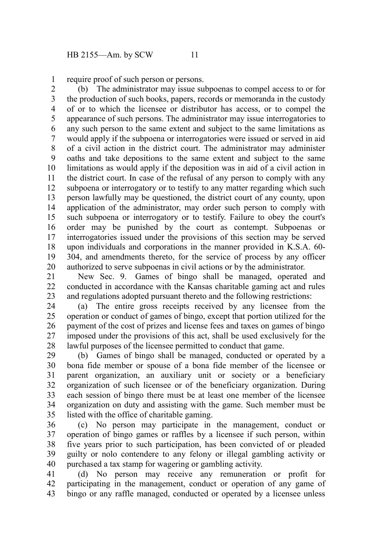require proof of such person or persons. 1

(b) The administrator may issue subpoenas to compel access to or for the production of such books, papers, records or memoranda in the custody of or to which the licensee or distributor has access, or to compel the appearance of such persons. The administrator may issue interrogatories to any such person to the same extent and subject to the same limitations as would apply if the subpoena or interrogatories were issued or served in aid of a civil action in the district court. The administrator may administer oaths and take depositions to the same extent and subject to the same limitations as would apply if the deposition was in aid of a civil action in the district court. In case of the refusal of any person to comply with any subpoena or interrogatory or to testify to any matter regarding which such person lawfully may be questioned, the district court of any county, upon application of the administrator, may order such person to comply with such subpoena or interrogatory or to testify. Failure to obey the court's order may be punished by the court as contempt. Subpoenas or interrogatories issued under the provisions of this section may be served upon individuals and corporations in the manner provided in K.S.A. 60- 304, and amendments thereto, for the service of process by any officer authorized to serve subpoenas in civil actions or by the administrator. 2 3 4 5 6 7 8 9 10 11 12 13 14 15 16 17 18 19 20

New Sec. 9. Games of bingo shall be managed, operated and conducted in accordance with the Kansas charitable gaming act and rules and regulations adopted pursuant thereto and the following restrictions: 21 22 23

(a) The entire gross receipts received by any licensee from the operation or conduct of games of bingo, except that portion utilized for the payment of the cost of prizes and license fees and taxes on games of bingo imposed under the provisions of this act, shall be used exclusively for the lawful purposes of the licensee permitted to conduct that game. 24 25 26 27 28

(b) Games of bingo shall be managed, conducted or operated by a bona fide member or spouse of a bona fide member of the licensee or parent organization, an auxiliary unit or society or a beneficiary organization of such licensee or of the beneficiary organization. During each session of bingo there must be at least one member of the licensee organization on duty and assisting with the game. Such member must be listed with the office of charitable gaming. 29 30 31 32 33 34 35

(c) No person may participate in the management, conduct or operation of bingo games or raffles by a licensee if such person, within five years prior to such participation, has been convicted of or pleaded guilty or nolo contendere to any felony or illegal gambling activity or purchased a tax stamp for wagering or gambling activity. 36 37 38 39 40

(d) No person may receive any remuneration or profit for participating in the management, conduct or operation of any game of bingo or any raffle managed, conducted or operated by a licensee unless 41 42 43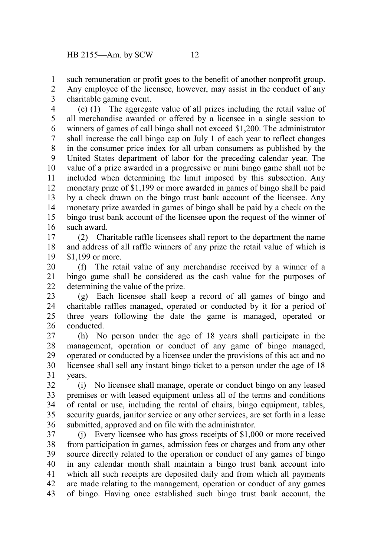such remuneration or profit goes to the benefit of another nonprofit group. 1

Any employee of the licensee, however, may assist in the conduct of any charitable gaming event. 2 3

(e) (1) The aggregate value of all prizes including the retail value of all merchandise awarded or offered by a licensee in a single session to winners of games of call bingo shall not exceed \$1,200. The administrator shall increase the call bingo cap on July 1 of each year to reflect changes in the consumer price index for all urban consumers as published by the United States department of labor for the preceding calendar year. The value of a prize awarded in a progressive or mini bingo game shall not be included when determining the limit imposed by this subsection. Any monetary prize of \$1,199 or more awarded in games of bingo shall be paid by a check drawn on the bingo trust bank account of the licensee. Any monetary prize awarded in games of bingo shall be paid by a check on the bingo trust bank account of the licensee upon the request of the winner of such award. 4 5 6 7 8 9 10 11 12 13 14 15 16

(2) Charitable raffle licensees shall report to the department the name and address of all raffle winners of any prize the retail value of which is \$1,199 or more. 17 18 19

(f) The retail value of any merchandise received by a winner of a bingo game shall be considered as the cash value for the purposes of determining the value of the prize. 20 21 22

(g) Each licensee shall keep a record of all games of bingo and charitable raffles managed, operated or conducted by it for a period of three years following the date the game is managed, operated or conducted. 23 24 25 26

(h) No person under the age of 18 years shall participate in the management, operation or conduct of any game of bingo managed, operated or conducted by a licensee under the provisions of this act and no licensee shall sell any instant bingo ticket to a person under the age of 18 years. 27 28 29 30 31

(i) No licensee shall manage, operate or conduct bingo on any leased premises or with leased equipment unless all of the terms and conditions of rental or use, including the rental of chairs, bingo equipment, tables, security guards, janitor service or any other services, are set forth in a lease submitted, approved and on file with the administrator. 32 33 34 35 36

(j) Every licensee who has gross receipts of \$1,000 or more received from participation in games, admission fees or charges and from any other source directly related to the operation or conduct of any games of bingo in any calendar month shall maintain a bingo trust bank account into which all such receipts are deposited daily and from which all payments are made relating to the management, operation or conduct of any games of bingo. Having once established such bingo trust bank account, the 37 38 39 40 41 42 43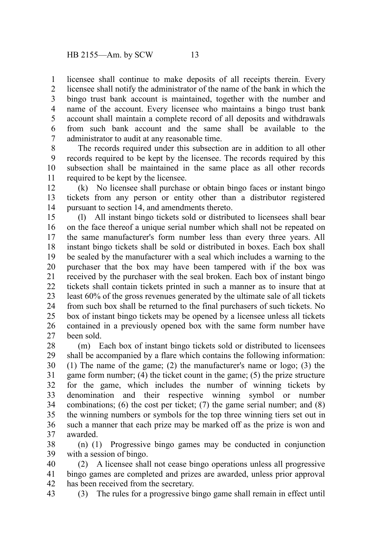licensee shall continue to make deposits of all receipts therein. Every licensee shall notify the administrator of the name of the bank in which the bingo trust bank account is maintained, together with the number and name of the account. Every licensee who maintains a bingo trust bank account shall maintain a complete record of all deposits and withdrawals from such bank account and the same shall be available to the administrator to audit at any reasonable time. 1 2 3 4 5 6 7

The records required under this subsection are in addition to all other records required to be kept by the licensee. The records required by this subsection shall be maintained in the same place as all other records required to be kept by the licensee. 8 9 10 11

(k) No licensee shall purchase or obtain bingo faces or instant bingo tickets from any person or entity other than a distributor registered pursuant to section 14, and amendments thereto. 12 13 14

(l) All instant bingo tickets sold or distributed to licensees shall bear on the face thereof a unique serial number which shall not be repeated on the same manufacturer's form number less than every three years. All instant bingo tickets shall be sold or distributed in boxes. Each box shall be sealed by the manufacturer with a seal which includes a warning to the purchaser that the box may have been tampered with if the box was received by the purchaser with the seal broken. Each box of instant bingo tickets shall contain tickets printed in such a manner as to insure that at least 60% of the gross revenues generated by the ultimate sale of all tickets from such box shall be returned to the final purchasers of such tickets. No box of instant bingo tickets may be opened by a licensee unless all tickets contained in a previously opened box with the same form number have been sold. 15 16 17 18 19 20 21 22 23 24 25 26 27

(m) Each box of instant bingo tickets sold or distributed to licensees shall be accompanied by a flare which contains the following information: (1) The name of the game; (2) the manufacturer's name or logo; (3) the game form number; (4) the ticket count in the game; (5) the prize structure for the game, which includes the number of winning tickets by denomination and their respective winning symbol or number combinations; (6) the cost per ticket; (7) the game serial number; and (8) the winning numbers or symbols for the top three winning tiers set out in such a manner that each prize may be marked off as the prize is won and awarded. 28 29 30 31 32 33 34 35 36 37

(n) (1) Progressive bingo games may be conducted in conjunction with a session of bingo. 38 39

(2) A licensee shall not cease bingo operations unless all progressive bingo games are completed and prizes are awarded, unless prior approval has been received from the secretary. 40 41 42

(3) The rules for a progressive bingo game shall remain in effect until 43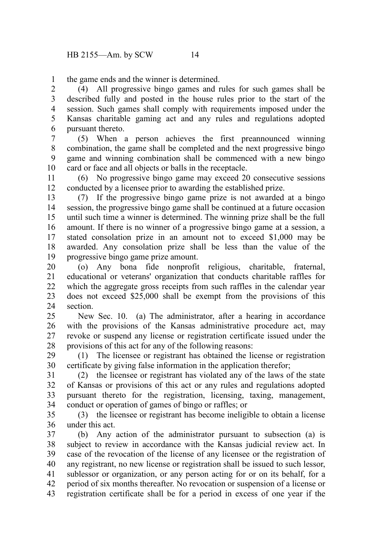the game ends and the winner is determined. 1

(4) All progressive bingo games and rules for such games shall be described fully and posted in the house rules prior to the start of the session. Such games shall comply with requirements imposed under the Kansas charitable gaming act and any rules and regulations adopted pursuant thereto. 2 3 4 5 6

(5) When a person achieves the first preannounced winning combination, the game shall be completed and the next progressive bingo game and winning combination shall be commenced with a new bingo card or face and all objects or balls in the receptacle. 7 8 9 10

(6) No progressive bingo game may exceed 20 consecutive sessions conducted by a licensee prior to awarding the established prize. 11 12

(7) If the progressive bingo game prize is not awarded at a bingo session, the progressive bingo game shall be continued at a future occasion until such time a winner is determined. The winning prize shall be the full amount. If there is no winner of a progressive bingo game at a session, a stated consolation prize in an amount not to exceed \$1,000 may be awarded. Any consolation prize shall be less than the value of the progressive bingo game prize amount. 13 14 15 16 17 18 19

(o) Any bona fide nonprofit religious, charitable, fraternal, educational or veterans' organization that conducts charitable raffles for which the aggregate gross receipts from such raffles in the calendar year does not exceed \$25,000 shall be exempt from the provisions of this section. 20 21 22 23 24

New Sec. 10. (a) The administrator, after a hearing in accordance with the provisions of the Kansas administrative procedure act, may revoke or suspend any license or registration certificate issued under the provisions of this act for any of the following reasons:  $25$ 26 27 28

(1) The licensee or registrant has obtained the license or registration certificate by giving false information in the application therefor; 29 30

(2) the licensee or registrant has violated any of the laws of the state of Kansas or provisions of this act or any rules and regulations adopted pursuant thereto for the registration, licensing, taxing, management, conduct or operation of games of bingo or raffles; or 31 32 33 34

(3) the licensee or registrant has become ineligible to obtain a license under this act. 35 36

(b) Any action of the administrator pursuant to subsection (a) is subject to review in accordance with the Kansas judicial review act. In case of the revocation of the license of any licensee or the registration of any registrant, no new license or registration shall be issued to such lessor, sublessor or organization, or any person acting for or on its behalf, for a period of six months thereafter. No revocation or suspension of a license or registration certificate shall be for a period in excess of one year if the 37 38 39 40 41 42 43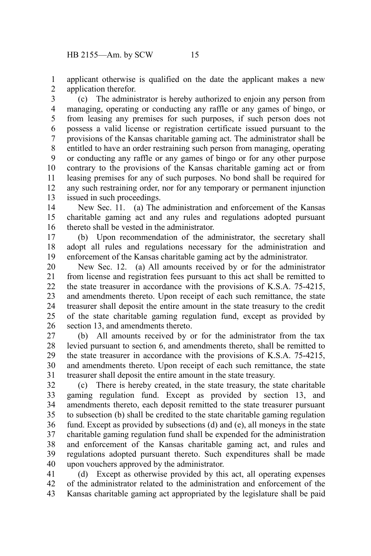applicant otherwise is qualified on the date the applicant makes a new application therefor. 1 2

(c) The administrator is hereby authorized to enjoin any person from managing, operating or conducting any raffle or any games of bingo, or from leasing any premises for such purposes, if such person does not possess a valid license or registration certificate issued pursuant to the provisions of the Kansas charitable gaming act. The administrator shall be entitled to have an order restraining such person from managing, operating or conducting any raffle or any games of bingo or for any other purpose contrary to the provisions of the Kansas charitable gaming act or from leasing premises for any of such purposes. No bond shall be required for any such restraining order, nor for any temporary or permanent injunction issued in such proceedings. 3 4 5 6 7 8 9 10 11 12 13

New Sec. 11. (a) The administration and enforcement of the Kansas charitable gaming act and any rules and regulations adopted pursuant thereto shall be vested in the administrator. 14 15 16

(b) Upon recommendation of the administrator, the secretary shall adopt all rules and regulations necessary for the administration and enforcement of the Kansas charitable gaming act by the administrator. 17 18 19

New Sec. 12. (a) All amounts received by or for the administrator from license and registration fees pursuant to this act shall be remitted to the state treasurer in accordance with the provisions of K.S.A. 75-4215, and amendments thereto. Upon receipt of each such remittance, the state treasurer shall deposit the entire amount in the state treasury to the credit of the state charitable gaming regulation fund, except as provided by section 13, and amendments thereto. 20 21 22 23 24 25 26

(b) All amounts received by or for the administrator from the tax levied pursuant to section 6, and amendments thereto, shall be remitted to the state treasurer in accordance with the provisions of K.S.A. 75-4215, and amendments thereto. Upon receipt of each such remittance, the state treasurer shall deposit the entire amount in the state treasury. 27 28 29 30 31

(c) There is hereby created, in the state treasury, the state charitable gaming regulation fund. Except as provided by section 13, and amendments thereto, each deposit remitted to the state treasurer pursuant to subsection (b) shall be credited to the state charitable gaming regulation fund. Except as provided by subsections (d) and (e), all moneys in the state charitable gaming regulation fund shall be expended for the administration and enforcement of the Kansas charitable gaming act, and rules and regulations adopted pursuant thereto. Such expenditures shall be made upon vouchers approved by the administrator. 32 33 34 35 36 37 38 39 40

(d) Except as otherwise provided by this act, all operating expenses of the administrator related to the administration and enforcement of the Kansas charitable gaming act appropriated by the legislature shall be paid 41 42 43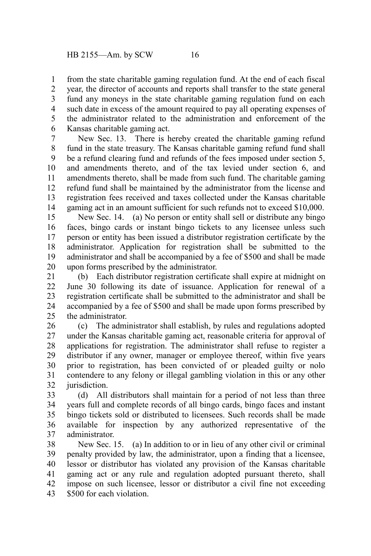from the state charitable gaming regulation fund. At the end of each fiscal year, the director of accounts and reports shall transfer to the state general fund any moneys in the state charitable gaming regulation fund on each such date in excess of the amount required to pay all operating expenses of the administrator related to the administration and enforcement of the Kansas charitable gaming act. 1 2 3 4 5 6

New Sec. 13. There is hereby created the charitable gaming refund fund in the state treasury. The Kansas charitable gaming refund fund shall be a refund clearing fund and refunds of the fees imposed under section 5, and amendments thereto, and of the tax levied under section 6, and amendments thereto, shall be made from such fund. The charitable gaming refund fund shall be maintained by the administrator from the license and registration fees received and taxes collected under the Kansas charitable gaming act in an amount sufficient for such refunds not to exceed \$10,000. 7 8 9 10 11 12 13 14

New Sec. 14. (a) No person or entity shall sell or distribute any bingo faces, bingo cards or instant bingo tickets to any licensee unless such person or entity has been issued a distributor registration certificate by the administrator. Application for registration shall be submitted to the administrator and shall be accompanied by a fee of \$500 and shall be made upon forms prescribed by the administrator. 15 16 17 18 19 20

(b) Each distributor registration certificate shall expire at midnight on June 30 following its date of issuance. Application for renewal of a registration certificate shall be submitted to the administrator and shall be accompanied by a fee of \$500 and shall be made upon forms prescribed by the administrator. 21 22 23 24 25

(c) The administrator shall establish, by rules and regulations adopted under the Kansas charitable gaming act, reasonable criteria for approval of applications for registration. The administrator shall refuse to register a distributor if any owner, manager or employee thereof, within five years prior to registration, has been convicted of or pleaded guilty or nolo contendere to any felony or illegal gambling violation in this or any other jurisdiction. 26 27 28 29 30 31 32

(d) All distributors shall maintain for a period of not less than three years full and complete records of all bingo cards, bingo faces and instant bingo tickets sold or distributed to licensees. Such records shall be made available for inspection by any authorized representative of the administrator. 33 34 35 36 37

New Sec. 15. (a) In addition to or in lieu of any other civil or criminal penalty provided by law, the administrator, upon a finding that a licensee, lessor or distributor has violated any provision of the Kansas charitable gaming act or any rule and regulation adopted pursuant thereto, shall impose on such licensee, lessor or distributor a civil fine not exceeding \$500 for each violation. 38 39 40 41 42 43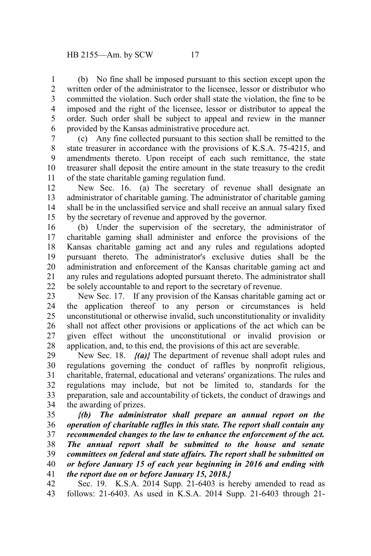(b) No fine shall be imposed pursuant to this section except upon the written order of the administrator to the licensee, lessor or distributor who committed the violation. Such order shall state the violation, the fine to be imposed and the right of the licensee, lessor or distributor to appeal the order. Such order shall be subject to appeal and review in the manner provided by the Kansas administrative procedure act. 1 2 3 4 5 6

(c) Any fine collected pursuant to this section shall be remitted to the state treasurer in accordance with the provisions of K.S.A. 75-4215, and amendments thereto. Upon receipt of each such remittance, the state treasurer shall deposit the entire amount in the state treasury to the credit of the state charitable gaming regulation fund. 7 8 9 10 11

New Sec. 16. (a) The secretary of revenue shall designate an administrator of charitable gaming. The administrator of charitable gaming shall be in the unclassified service and shall receive an annual salary fixed by the secretary of revenue and approved by the governor. 12 13 14 15

(b) Under the supervision of the secretary, the administrator of charitable gaming shall administer and enforce the provisions of the Kansas charitable gaming act and any rules and regulations adopted pursuant thereto. The administrator's exclusive duties shall be the administration and enforcement of the Kansas charitable gaming act and any rules and regulations adopted pursuant thereto. The administrator shall be solely accountable to and report to the secretary of revenue. 16 17 18 19 20 21 22

New Sec. 17. If any provision of the Kansas charitable gaming act or the application thereof to any person or circumstances is held unconstitutional or otherwise invalid, such unconstitutionality or invalidity shall not affect other provisions or applications of the act which can be given effect without the unconstitutional or invalid provision or application, and, to this end, the provisions of this act are severable. 23 24 25 26 27 28

New Sec. 18. *{(a)}* The department of revenue shall adopt rules and regulations governing the conduct of raffles by nonprofit religious, charitable, fraternal, educational and veterans' organizations. The rules and regulations may include, but not be limited to, standards for the preparation, sale and accountability of tickets, the conduct of drawings and the awarding of prizes. 29 30 31 32 33 34

*{(b) The administrator shall prepare an annual report on the operation of charitable raffles in this state. The report shall contain any recommended changes to the law to enhance the enforcement of the act. The annual report shall be submitted to the house and senate committees on federal and state affairs. The report shall be submitted on or before January 15 of each year beginning in 2016 and ending with the report due on or before January 15, 2018.}* 35 36 37 38 39 40 41

Sec. 19. K.S.A. 2014 Supp. 21-6403 is hereby amended to read as follows: 21-6403. As used in K.S.A. 2014 Supp. 21-6403 through 21- 42 43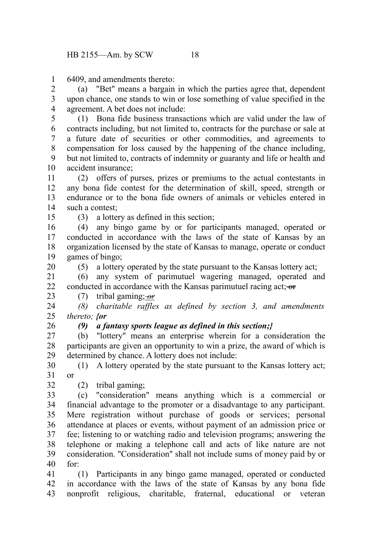6409, and amendments thereto: 1

(a) "Bet" means a bargain in which the parties agree that, dependent upon chance, one stands to win or lose something of value specified in the agreement. A bet does not include: 2 3 4

(1) Bona fide business transactions which are valid under the law of contracts including, but not limited to, contracts for the purchase or sale at a future date of securities or other commodities, and agreements to compensation for loss caused by the happening of the chance including, but not limited to, contracts of indemnity or guaranty and life or health and accident insurance; 5 6 7 8 9 10

(2) offers of purses, prizes or premiums to the actual contestants in any bona fide contest for the determination of skill, speed, strength or endurance or to the bona fide owners of animals or vehicles entered in such a contest; 11 12 13 14

15

(3) a lottery as defined in this section;

(4) any bingo game by or for participants managed, operated or conducted in accordance with the laws of the state of Kansas by an organization licensed by the state of Kansas to manage, operate or conduct games of bingo; 16 17 18 19

(5) a lottery operated by the state pursuant to the Kansas lottery act; 20

(6) any system of parimutuel wagering managed, operated and conducted in accordance with the Kansas parimutuel racing act; or 21  $22$ 23

(7) tribal gaming; *or*

*(8) charitable raffles as defined by section 3, and amendments thereto; {or* 24 25

26

## *(9) a fantasy sports league as defined in this section;}*

(b) "lottery" means an enterprise wherein for a consideration the participants are given an opportunity to win a prize, the award of which is determined by chance. A lottery does not include: 27 28 29

(1) A lottery operated by the state pursuant to the Kansas lottery act; or 30 31

(2) tribal gaming; 32

(c) "consideration" means anything which is a commercial or financial advantage to the promoter or a disadvantage to any participant. Mere registration without purchase of goods or services; personal attendance at places or events, without payment of an admission price or fee; listening to or watching radio and television programs; answering the telephone or making a telephone call and acts of like nature are not consideration. "Consideration" shall not include sums of money paid by or for: 33 34 35 36 37 38 39 40

(1) Participants in any bingo game managed, operated or conducted in accordance with the laws of the state of Kansas by any bona fide nonprofit religious, charitable, fraternal, educational or veteran 41 42 43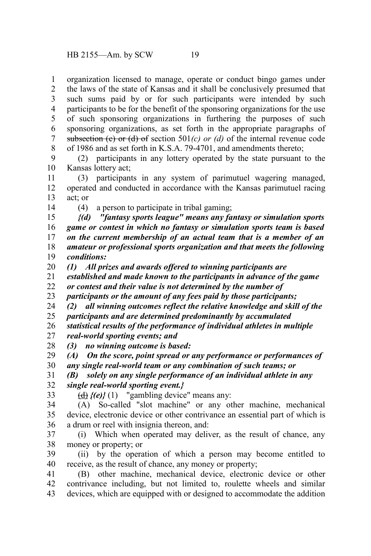organization licensed to manage, operate or conduct bingo games under the laws of the state of Kansas and it shall be conclusively presumed that such sums paid by or for such participants were intended by such participants to be for the benefit of the sponsoring organizations for the use of such sponsoring organizations in furthering the purposes of such sponsoring organizations, as set forth in the appropriate paragraphs of subsection (c) or (d) of section  $501(c)$  or (d) of the internal revenue code of 1986 and as set forth in K.S.A. 79-4701, and amendments thereto; 1 2 3 4 5 6 7 8

(2) participants in any lottery operated by the state pursuant to the Kansas lottery act; 9 10

(3) participants in any system of parimutuel wagering managed, operated and conducted in accordance with the Kansas parimutuel racing act; or 11 12 13

14

(4) a person to participate in tribal gaming;

*{(d) "fantasy sports league" means any fantasy or simulation sports game or contest in which no fantasy or simulation sports team is based on the current membership of an actual team that is a member of an amateur or professional sports organization and that meets the following conditions:*  15 16 17 18 19

*(1) All prizes and awards offered to winning participants are* 20

*established and made known to the participants in advance of the game* 21

*or contest and their value is not determined by the number of* 22

*participants or the amount of any fees paid by those participants;* 23

*(2) all winning outcomes reflect the relative knowledge and skill of the* 24

*participants and are determined predominantly by accumulated* 25

*statistical results of the performance of individual athletes in multiple* 26

*real-world sporting events; and* 27

*(3) no winning outcome is based:* 28

*(A) On the score, point spread or any performance or performances of* 29

*any single real-world team or any combination of such teams; or* 30

*(B) solely on any single performance of an individual athlete in any* 31

*single real-world sporting event.}* 32

33

 $\overrightarrow{(d)}$   $\{ (e) \}$  (1) "gambling device" means any:

(A) So-called "slot machine" or any other machine, mechanical device, electronic device or other contrivance an essential part of which is a drum or reel with insignia thereon, and: 34 35 36

(i) Which when operated may deliver, as the result of chance, any money or property; or 37 38

(ii) by the operation of which a person may become entitled to receive, as the result of chance, any money or property; 39 40

(B) other machine, mechanical device, electronic device or other contrivance including, but not limited to, roulette wheels and similar devices, which are equipped with or designed to accommodate the addition 41 42 43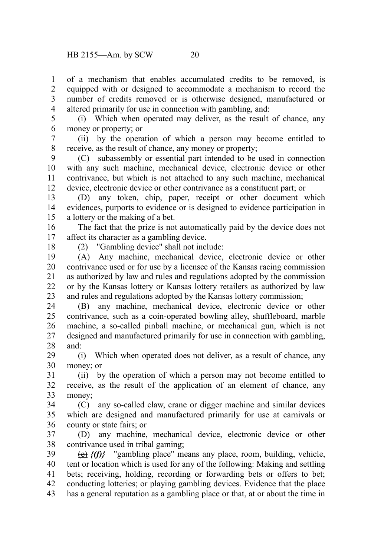of a mechanism that enables accumulated credits to be removed, is equipped with or designed to accommodate a mechanism to record the number of credits removed or is otherwise designed, manufactured or altered primarily for use in connection with gambling, and: 1  $\mathcal{L}$ 3 4

(i) Which when operated may deliver, as the result of chance, any money or property; or 5 6

(ii) by the operation of which a person may become entitled to receive, as the result of chance, any money or property; 7 8

(C) subassembly or essential part intended to be used in connection with any such machine, mechanical device, electronic device or other contrivance, but which is not attached to any such machine, mechanical device, electronic device or other contrivance as a constituent part; or 9 10 11 12

(D) any token, chip, paper, receipt or other document which evidences, purports to evidence or is designed to evidence participation in a lottery or the making of a bet. 13 14 15

The fact that the prize is not automatically paid by the device does not affect its character as a gambling device. 16 17

18

(2) "Gambling device" shall not include:

(A) Any machine, mechanical device, electronic device or other contrivance used or for use by a licensee of the Kansas racing commission as authorized by law and rules and regulations adopted by the commission or by the Kansas lottery or Kansas lottery retailers as authorized by law and rules and regulations adopted by the Kansas lottery commission; 19 20 21 22 23

(B) any machine, mechanical device, electronic device or other contrivance, such as a coin-operated bowling alley, shuffleboard, marble machine, a so-called pinball machine, or mechanical gun, which is not designed and manufactured primarily for use in connection with gambling, and: 24 25 26 27 28

(i) Which when operated does not deliver, as a result of chance, any money; or 29 30

(ii) by the operation of which a person may not become entitled to receive, as the result of the application of an element of chance, any money; 31 32 33

(C) any so-called claw, crane or digger machine and similar devices which are designed and manufactured primarily for use at carnivals or county or state fairs; or 34 35 36

(D) any machine, mechanical device, electronic device or other contrivance used in tribal gaming; 37 38

(e) *{(f)}* "gambling place" means any place, room, building, vehicle, tent or location which is used for any of the following: Making and settling bets; receiving, holding, recording or forwarding bets or offers to bet; conducting lotteries; or playing gambling devices. Evidence that the place has a general reputation as a gambling place or that, at or about the time in 39 40 41 42 43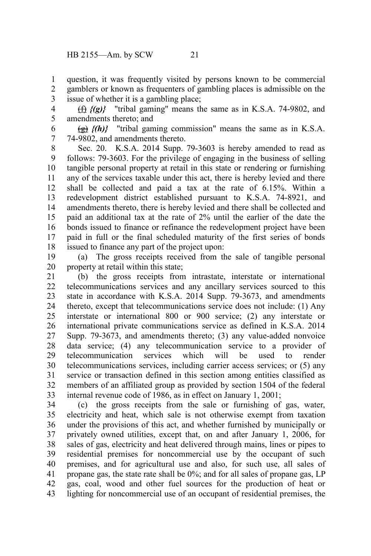question, it was frequently visited by persons known to be commercial gamblers or known as frequenters of gambling places is admissible on the issue of whether it is a gambling place; 1 2 3

(f) *{(g)}* "tribal gaming" means the same as in K.S.A. 74-9802, and amendments thereto; and 4 5

 $\langle \hat{g} \rangle$   $\langle \hat{h} \rangle$  "tribal gaming commission" means the same as in K.S.A. 74-9802, and amendments thereto. 6 7

Sec. 20. K.S.A. 2014 Supp. 79-3603 is hereby amended to read as follows: 79-3603. For the privilege of engaging in the business of selling tangible personal property at retail in this state or rendering or furnishing any of the services taxable under this act, there is hereby levied and there shall be collected and paid a tax at the rate of 6.15%. Within a redevelopment district established pursuant to K.S.A. 74-8921, and amendments thereto, there is hereby levied and there shall be collected and paid an additional tax at the rate of 2% until the earlier of the date the bonds issued to finance or refinance the redevelopment project have been paid in full or the final scheduled maturity of the first series of bonds issued to finance any part of the project upon: 8 9 10 11 12 13 14 15 16 17 18

(a) The gross receipts received from the sale of tangible personal property at retail within this state; 19 20

(b) the gross receipts from intrastate, interstate or international telecommunications services and any ancillary services sourced to this state in accordance with K.S.A. 2014 Supp. 79-3673, and amendments thereto, except that telecommunications service does not include: (1) Any interstate or international 800 or 900 service; (2) any interstate or international private communications service as defined in K.S.A. 2014 Supp. 79-3673, and amendments thereto; (3) any value-added nonvoice data service; (4) any telecommunication service to a provider of telecommunication services which will be used to render telecommunications services, including carrier access services; or (5) any service or transaction defined in this section among entities classified as members of an affiliated group as provided by section 1504 of the federal internal revenue code of 1986, as in effect on January 1, 2001; 21 22 23 24 25 26 27 28 29 30 31 32 33

(c) the gross receipts from the sale or furnishing of gas, water, electricity and heat, which sale is not otherwise exempt from taxation under the provisions of this act, and whether furnished by municipally or privately owned utilities, except that, on and after January 1, 2006, for sales of gas, electricity and heat delivered through mains, lines or pipes to residential premises for noncommercial use by the occupant of such premises, and for agricultural use and also, for such use, all sales of propane gas, the state rate shall be 0%; and for all sales of propane gas, LP gas, coal, wood and other fuel sources for the production of heat or lighting for noncommercial use of an occupant of residential premises, the 34 35 36 37 38 39 40 41 42 43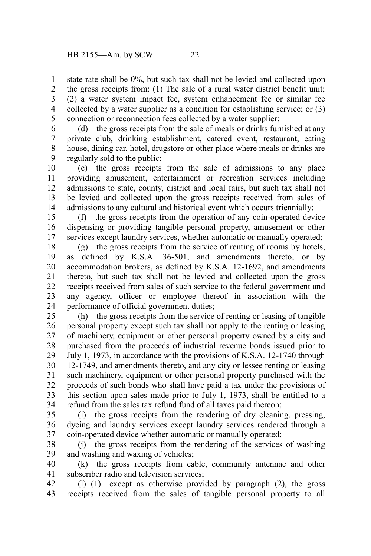state rate shall be 0%, but such tax shall not be levied and collected upon the gross receipts from: (1) The sale of a rural water district benefit unit; (2) a water system impact fee, system enhancement fee or similar fee collected by a water supplier as a condition for establishing service; or (3) connection or reconnection fees collected by a water supplier; 1 2 3 4 5

(d) the gross receipts from the sale of meals or drinks furnished at any private club, drinking establishment, catered event, restaurant, eating house, dining car, hotel, drugstore or other place where meals or drinks are regularly sold to the public; 6 7 8 9

(e) the gross receipts from the sale of admissions to any place providing amusement, entertainment or recreation services including admissions to state, county, district and local fairs, but such tax shall not be levied and collected upon the gross receipts received from sales of admissions to any cultural and historical event which occurs triennially; 10 11 12 13 14

(f) the gross receipts from the operation of any coin-operated device dispensing or providing tangible personal property, amusement or other services except laundry services, whether automatic or manually operated; 15 16 17

(g) the gross receipts from the service of renting of rooms by hotels, as defined by K.S.A. 36-501, and amendments thereto, or by accommodation brokers, as defined by K.S.A. 12-1692, and amendments thereto, but such tax shall not be levied and collected upon the gross receipts received from sales of such service to the federal government and any agency, officer or employee thereof in association with the performance of official government duties; 18 19 20 21 22 23 24

(h) the gross receipts from the service of renting or leasing of tangible personal property except such tax shall not apply to the renting or leasing of machinery, equipment or other personal property owned by a city and purchased from the proceeds of industrial revenue bonds issued prior to July 1, 1973, in accordance with the provisions of K.S.A. 12-1740 through 12-1749, and amendments thereto, and any city or lessee renting or leasing such machinery, equipment or other personal property purchased with the proceeds of such bonds who shall have paid a tax under the provisions of this section upon sales made prior to July 1, 1973, shall be entitled to a refund from the sales tax refund fund of all taxes paid thereon; 25 26 27 28 29 30 31 32 33 34

(i) the gross receipts from the rendering of dry cleaning, pressing, dyeing and laundry services except laundry services rendered through a coin-operated device whether automatic or manually operated; 35 36 37

(j) the gross receipts from the rendering of the services of washing and washing and waxing of vehicles; 38 39

(k) the gross receipts from cable, community antennae and other subscriber radio and television services; 40 41

(l) (1) except as otherwise provided by paragraph (2), the gross receipts received from the sales of tangible personal property to all 42 43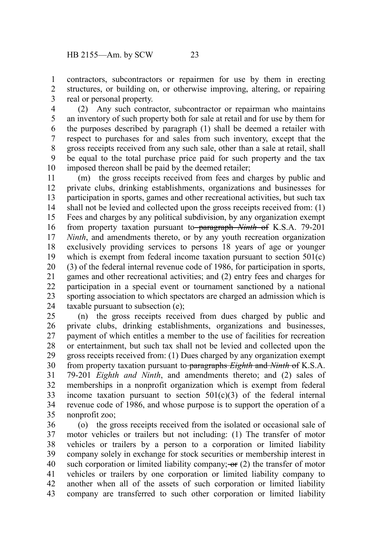contractors, subcontractors or repairmen for use by them in erecting structures, or building on, or otherwise improving, altering, or repairing real or personal property. 1 2 3

(2) Any such contractor, subcontractor or repairman who maintains an inventory of such property both for sale at retail and for use by them for the purposes described by paragraph (1) shall be deemed a retailer with respect to purchases for and sales from such inventory, except that the gross receipts received from any such sale, other than a sale at retail, shall be equal to the total purchase price paid for such property and the tax imposed thereon shall be paid by the deemed retailer; 4 5 6 7 8 9 10

(m) the gross receipts received from fees and charges by public and private clubs, drinking establishments, organizations and businesses for participation in sports, games and other recreational activities, but such tax shall not be levied and collected upon the gross receipts received from: (1) Fees and charges by any political subdivision, by any organization exempt from property taxation pursuant to paragraph *Ninth* of K.S.A. 79-201 *Ninth*, and amendments thereto, or by any youth recreation organization exclusively providing services to persons 18 years of age or younger which is exempt from federal income taxation pursuant to section  $501(c)$ (3) of the federal internal revenue code of 1986, for participation in sports, games and other recreational activities; and (2) entry fees and charges for participation in a special event or tournament sanctioned by a national sporting association to which spectators are charged an admission which is taxable pursuant to subsection (e); 11 12 13 14 15 16 17 18 19 20 21 22 23 24

(n) the gross receipts received from dues charged by public and private clubs, drinking establishments, organizations and businesses, payment of which entitles a member to the use of facilities for recreation or entertainment, but such tax shall not be levied and collected upon the gross receipts received from: (1) Dues charged by any organization exempt from property taxation pursuant to paragraphs *Eighth* and *Ninth* of K.S.A. 79-201 *Eighth and Ninth*, and amendments thereto; and (2) sales of memberships in a nonprofit organization which is exempt from federal income taxation pursuant to section  $501(c)(3)$  of the federal internal revenue code of 1986, and whose purpose is to support the operation of a nonprofit zoo; 25 26 27 28 29 30 31 32 33 34 35

(o) the gross receipts received from the isolated or occasional sale of motor vehicles or trailers but not including: (1) The transfer of motor vehicles or trailers by a person to a corporation or limited liability company solely in exchange for stock securities or membership interest in such corporation or limited liability company;  $\sigma$  (2) the transfer of motor vehicles or trailers by one corporation or limited liability company to another when all of the assets of such corporation or limited liability company are transferred to such other corporation or limited liability 36 37 38 39 40 41 42 43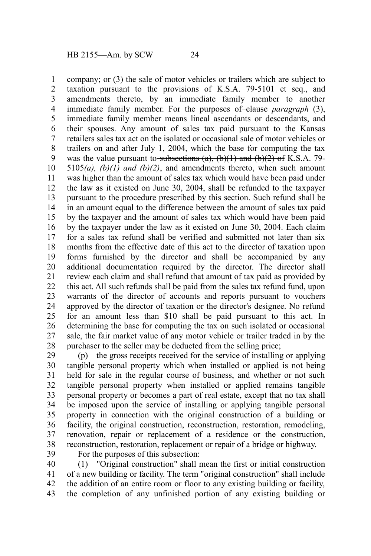company; or (3) the sale of motor vehicles or trailers which are subject to taxation pursuant to the provisions of K.S.A. 79-5101 et seq., and amendments thereto, by an immediate family member to another immediate family member. For the purposes of clause *paragraph* (3), immediate family member means lineal ascendants or descendants, and their spouses. Any amount of sales tax paid pursuant to the Kansas retailers sales tax act on the isolated or occasional sale of motor vehicles or trailers on and after July 1, 2004, which the base for computing the tax was the value pursuant to subsections  $(a)$ ,  $(b)(1)$  and  $(b)(2)$  of K.S.A. 79- $5105(a)$ ,  $(b)(1)$  and  $(b)(2)$ , and amendments thereto, when such amount was higher than the amount of sales tax which would have been paid under the law as it existed on June 30, 2004, shall be refunded to the taxpayer pursuant to the procedure prescribed by this section. Such refund shall be in an amount equal to the difference between the amount of sales tax paid by the taxpayer and the amount of sales tax which would have been paid by the taxpayer under the law as it existed on June 30, 2004. Each claim for a sales tax refund shall be verified and submitted not later than six months from the effective date of this act to the director of taxation upon forms furnished by the director and shall be accompanied by any additional documentation required by the director. The director shall review each claim and shall refund that amount of tax paid as provided by this act. All such refunds shall be paid from the sales tax refund fund, upon warrants of the director of accounts and reports pursuant to vouchers approved by the director of taxation or the director's designee. No refund for an amount less than \$10 shall be paid pursuant to this act. In determining the base for computing the tax on such isolated or occasional sale, the fair market value of any motor vehicle or trailer traded in by the purchaser to the seller may be deducted from the selling price; 1 2 3 4 5 6 7 8 9 10 11 12 13 14 15 16 17 18 19 20 21 22 23 24 25 26 27 28

(p) the gross receipts received for the service of installing or applying tangible personal property which when installed or applied is not being held for sale in the regular course of business, and whether or not such tangible personal property when installed or applied remains tangible personal property or becomes a part of real estate, except that no tax shall be imposed upon the service of installing or applying tangible personal property in connection with the original construction of a building or facility, the original construction, reconstruction, restoration, remodeling, renovation, repair or replacement of a residence or the construction, reconstruction, restoration, replacement or repair of a bridge or highway. 29 30 31 32 33 34 35 36 37 38

39

For the purposes of this subsection:

(1) "Original construction" shall mean the first or initial construction of a new building or facility. The term "original construction" shall include the addition of an entire room or floor to any existing building or facility, the completion of any unfinished portion of any existing building or 40 41 42 43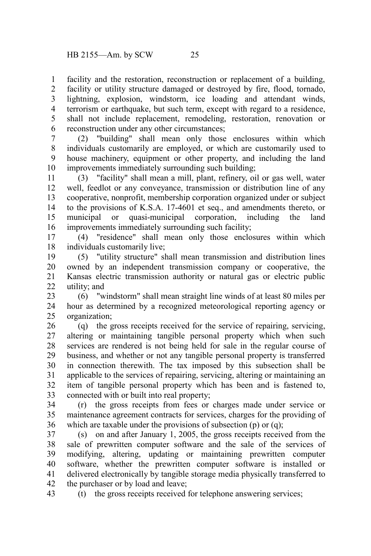facility and the restoration, reconstruction or replacement of a building, 1

facility or utility structure damaged or destroyed by fire, flood, tornado, lightning, explosion, windstorm, ice loading and attendant winds, terrorism or earthquake, but such term, except with regard to a residence, shall not include replacement, remodeling, restoration, renovation or reconstruction under any other circumstances; 2 3 4 5 6

(2) "building" shall mean only those enclosures within which individuals customarily are employed, or which are customarily used to house machinery, equipment or other property, and including the land improvements immediately surrounding such building; 7 8 9 10

(3) "facility" shall mean a mill, plant, refinery, oil or gas well, water well, feedlot or any conveyance, transmission or distribution line of any cooperative, nonprofit, membership corporation organized under or subject to the provisions of K.S.A. 17-4601 et seq., and amendments thereto, or municipal or quasi-municipal corporation, including the land improvements immediately surrounding such facility; 11 12 13 14 15 16

(4) "residence" shall mean only those enclosures within which individuals customarily live; 17 18

(5) "utility structure" shall mean transmission and distribution lines owned by an independent transmission company or cooperative, the Kansas electric transmission authority or natural gas or electric public utility; and 19 20 21 22

(6) "windstorm" shall mean straight line winds of at least 80 miles per hour as determined by a recognized meteorological reporting agency or organization; 23 24 25

(q) the gross receipts received for the service of repairing, servicing, altering or maintaining tangible personal property which when such services are rendered is not being held for sale in the regular course of business, and whether or not any tangible personal property is transferred in connection therewith. The tax imposed by this subsection shall be applicable to the services of repairing, servicing, altering or maintaining an item of tangible personal property which has been and is fastened to, connected with or built into real property; 26 27 28 29 30 31 32 33

(r) the gross receipts from fees or charges made under service or maintenance agreement contracts for services, charges for the providing of which are taxable under the provisions of subsection (p) or (q); 34 35 36

(s) on and after January 1, 2005, the gross receipts received from the sale of prewritten computer software and the sale of the services of modifying, altering, updating or maintaining prewritten computer software, whether the prewritten computer software is installed or delivered electronically by tangible storage media physically transferred to the purchaser or by load and leave; 37 38 39 40 41 42

43

(t) the gross receipts received for telephone answering services;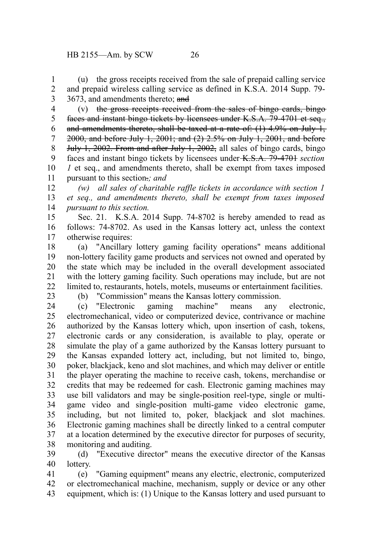(u) the gross receipts received from the sale of prepaid calling service and prepaid wireless calling service as defined in K.S.A. 2014 Supp. 79- 3673, and amendments thereto; and 1 2 3

(v) the gross receipts received from the sales of bingo cards, bingo faces and instant bingo tickets by licensees under K.S.A. 79-4701 et seq., and amendments thereto, shall be taxed at a rate of:  $(1)$  4.9% on July 1, 2000, and before July 1, 2001; and (2) 2.5% on July 1, 2001, and before July 1, 2002. From and after July 1, 2002, all sales of bingo cards, bingo faces and instant bingo tickets by licensees under K.S.A. 79-4701 *section 1* et seq., and amendments thereto, shall be exempt from taxes imposed pursuant to this section.*; and* 4 5 6 7 8 9 10 11

*(w) all sales of charitable raffle tickets in accordance with section 1 et seq., and amendments thereto, shall be exempt from taxes imposed pursuant to this section.* 12 13 14

Sec. 21. K.S.A. 2014 Supp. 74-8702 is hereby amended to read as follows: 74-8702. As used in the Kansas lottery act, unless the context otherwise requires: 15 16 17

(a) "Ancillary lottery gaming facility operations" means additional non-lottery facility game products and services not owned and operated by the state which may be included in the overall development associated with the lottery gaming facility. Such operations may include, but are not limited to, restaurants, hotels, motels, museums or entertainment facilities. 18 19 20 21 22

23

(b) "Commission" means the Kansas lottery commission.

(c) "Electronic gaming machine" means any electronic, electromechanical, video or computerized device, contrivance or machine authorized by the Kansas lottery which, upon insertion of cash, tokens, electronic cards or any consideration, is available to play, operate or simulate the play of a game authorized by the Kansas lottery pursuant to the Kansas expanded lottery act, including, but not limited to, bingo, poker, blackjack, keno and slot machines, and which may deliver or entitle the player operating the machine to receive cash, tokens, merchandise or credits that may be redeemed for cash. Electronic gaming machines may use bill validators and may be single-position reel-type, single or multigame video and single-position multi-game video electronic game, including, but not limited to, poker, blackjack and slot machines. Electronic gaming machines shall be directly linked to a central computer at a location determined by the executive director for purposes of security, monitoring and auditing. 24 25 26 27 28 29 30 31 32 33 34 35 36 37 38

(d) "Executive director" means the executive director of the Kansas lottery. 39 40

(e) "Gaming equipment" means any electric, electronic, computerized or electromechanical machine, mechanism, supply or device or any other equipment, which is: (1) Unique to the Kansas lottery and used pursuant to 41 42 43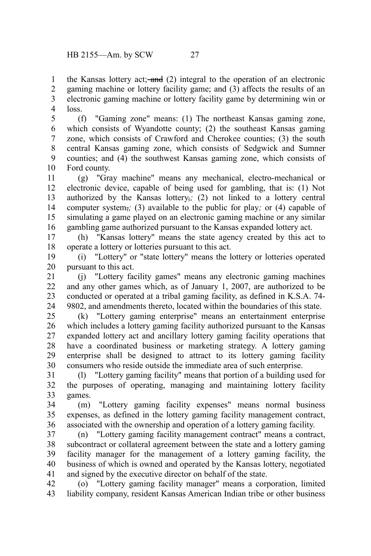the Kansas lottery act; and  $(2)$  integral to the operation of an electronic gaming machine or lottery facility game; and (3) affects the results of an electronic gaming machine or lottery facility game by determining win or loss. 1 2 3 4

(f) "Gaming zone" means: (1) The northeast Kansas gaming zone, which consists of Wyandotte county; (2) the southeast Kansas gaming zone, which consists of Crawford and Cherokee counties; (3) the south central Kansas gaming zone, which consists of Sedgwick and Sumner counties; and (4) the southwest Kansas gaming zone, which consists of Ford county. 5 6 7 8 9 10

(g) "Gray machine" means any mechanical, electro-mechanical or electronic device, capable of being used for gambling, that is: (1) Not authorized by the Kansas lottery,*;* (2) not linked to a lottery central computer system,*;* (3) available to the public for play*;* or (4) capable of simulating a game played on an electronic gaming machine or any similar gambling game authorized pursuant to the Kansas expanded lottery act. 11 12 13 14 15 16

(h) "Kansas lottery" means the state agency created by this act to operate a lottery or lotteries pursuant to this act. 17 18

(i) "Lottery" or "state lottery" means the lottery or lotteries operated pursuant to this act. 19 20

(j) "Lottery facility games" means any electronic gaming machines and any other games which, as of January 1, 2007, are authorized to be conducted or operated at a tribal gaming facility, as defined in K.S.A. 74- 9802, and amendments thereto, located within the boundaries of this state. 21 22 23 24

(k) "Lottery gaming enterprise" means an entertainment enterprise which includes a lottery gaming facility authorized pursuant to the Kansas expanded lottery act and ancillary lottery gaming facility operations that have a coordinated business or marketing strategy. A lottery gaming enterprise shall be designed to attract to its lottery gaming facility consumers who reside outside the immediate area of such enterprise. 25 26 27 28 29 30

(l) "Lottery gaming facility" means that portion of a building used for the purposes of operating, managing and maintaining lottery facility games. 31 32 33

(m) "Lottery gaming facility expenses" means normal business expenses, as defined in the lottery gaming facility management contract, associated with the ownership and operation of a lottery gaming facility. 34 35 36

(n) "Lottery gaming facility management contract" means a contract, subcontract or collateral agreement between the state and a lottery gaming facility manager for the management of a lottery gaming facility, the business of which is owned and operated by the Kansas lottery, negotiated and signed by the executive director on behalf of the state. 37 38 39 40 41

(o) "Lottery gaming facility manager" means a corporation, limited liability company, resident Kansas American Indian tribe or other business 42 43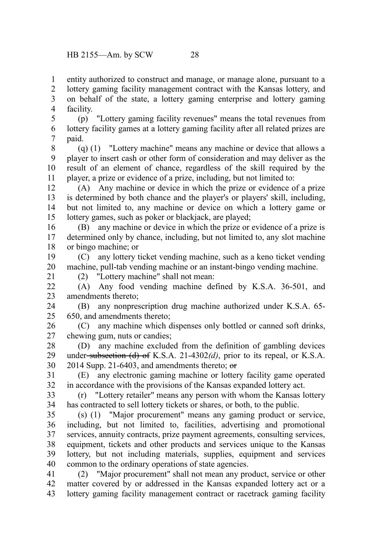entity authorized to construct and manage, or manage alone, pursuant to a 1

lottery gaming facility management contract with the Kansas lottery, and on behalf of the state, a lottery gaming enterprise and lottery gaming facility. 2 3 4

(p) "Lottery gaming facility revenues" means the total revenues from lottery facility games at a lottery gaming facility after all related prizes are paid. 5 6 7

(q) (1) "Lottery machine" means any machine or device that allows a player to insert cash or other form of consideration and may deliver as the result of an element of chance, regardless of the skill required by the player, a prize or evidence of a prize, including, but not limited to: 8 9 10 11

(A) Any machine or device in which the prize or evidence of a prize is determined by both chance and the player's or players' skill, including, but not limited to, any machine or device on which a lottery game or lottery games, such as poker or blackjack, are played; 12 13 14 15

(B) any machine or device in which the prize or evidence of a prize is determined only by chance, including, but not limited to, any slot machine or bingo machine; or 16 17 18

(C) any lottery ticket vending machine, such as a keno ticket vending machine, pull-tab vending machine or an instant-bingo vending machine. (2) "Lottery machine" shall not mean: 19 20

21

(A) Any food vending machine defined by K.S.A. 36-501, and amendments thereto;  $22$ 23

(B) any nonprescription drug machine authorized under K.S.A. 65- 650, and amendments thereto; 24 25

(C) any machine which dispenses only bottled or canned soft drinks, chewing gum, nuts or candies; 26 27

(D) any machine excluded from the definition of gambling devices under-subsection  $(d)$  of K.S.A. 21-4302 $(d)$ , prior to its repeal, or K.S.A. 2014 Supp. 21-6403, and amendments thereto;  $\Theta$ 28 29 30

(E) any electronic gaming machine or lottery facility game operated in accordance with the provisions of the Kansas expanded lottery act. 31 32

(r) "Lottery retailer" means any person with whom the Kansas lottery has contracted to sell lottery tickets or shares, or both, to the public. 33 34

(s) (1) "Major procurement" means any gaming product or service, including, but not limited to, facilities, advertising and promotional services, annuity contracts, prize payment agreements, consulting services, equipment, tickets and other products and services unique to the Kansas lottery, but not including materials, supplies, equipment and services common to the ordinary operations of state agencies. 35 36 37 38 39 40

(2) "Major procurement" shall not mean any product, service or other matter covered by or addressed in the Kansas expanded lottery act or a lottery gaming facility management contract or racetrack gaming facility 41 42 43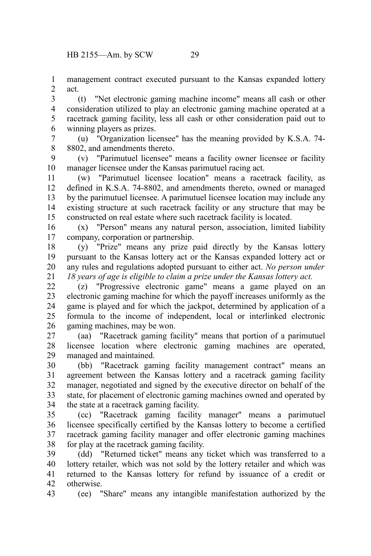management contract executed pursuant to the Kansas expanded lottery act. 1 2

(t) "Net electronic gaming machine income" means all cash or other consideration utilized to play an electronic gaming machine operated at a racetrack gaming facility, less all cash or other consideration paid out to winning players as prizes. 3 4 5 6

(u) "Organization licensee" has the meaning provided by K.S.A. 74- 8802, and amendments thereto. 7 8

(v) "Parimutuel licensee" means a facility owner licensee or facility manager licensee under the Kansas parimutuel racing act. 9 10

(w) "Parimutuel licensee location" means a racetrack facility, as defined in K.S.A. 74-8802, and amendments thereto, owned or managed by the parimutuel licensee. A parimutuel licensee location may include any existing structure at such racetrack facility or any structure that may be constructed on real estate where such racetrack facility is located. 11 12 13 14 15

(x) "Person" means any natural person, association, limited liability company, corporation or partnership. 16 17

(y) "Prize" means any prize paid directly by the Kansas lottery pursuant to the Kansas lottery act or the Kansas expanded lottery act or any rules and regulations adopted pursuant to either act. *No person under 18 years of age is eligible to claim a prize under the Kansas lottery act.* 18 19 20 21

(z) "Progressive electronic game" means a game played on an electronic gaming machine for which the payoff increases uniformly as the game is played and for which the jackpot, determined by application of a formula to the income of independent, local or interlinked electronic gaming machines, may be won. 22 23 24 25 26

(aa) "Racetrack gaming facility" means that portion of a parimutuel licensee location where electronic gaming machines are operated, managed and maintained. 27 28 29

(bb) "Racetrack gaming facility management contract" means an agreement between the Kansas lottery and a racetrack gaming facility manager, negotiated and signed by the executive director on behalf of the state, for placement of electronic gaming machines owned and operated by the state at a racetrack gaming facility. 30 31 32 33 34

(cc) "Racetrack gaming facility manager" means a parimutuel licensee specifically certified by the Kansas lottery to become a certified racetrack gaming facility manager and offer electronic gaming machines for play at the racetrack gaming facility. 35 36 37 38

(dd) "Returned ticket" means any ticket which was transferred to a lottery retailer, which was not sold by the lottery retailer and which was returned to the Kansas lottery for refund by issuance of a credit or otherwise. 39 40 41 42

(ee) "Share" means any intangible manifestation authorized by the 43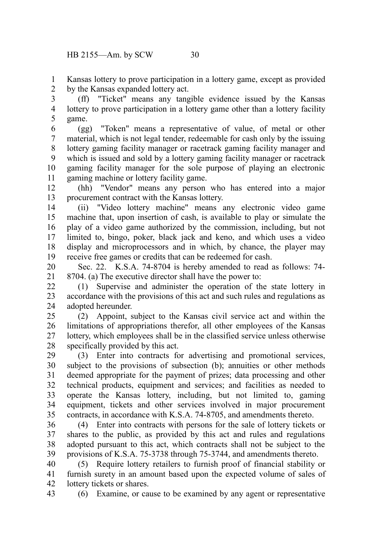Kansas lottery to prove participation in a lottery game, except as provided by the Kansas expanded lottery act. 1 2

(ff) "Ticket" means any tangible evidence issued by the Kansas lottery to prove participation in a lottery game other than a lottery facility game. 3 4 5

(gg) "Token" means a representative of value, of metal or other material, which is not legal tender, redeemable for cash only by the issuing lottery gaming facility manager or racetrack gaming facility manager and which is issued and sold by a lottery gaming facility manager or racetrack gaming facility manager for the sole purpose of playing an electronic gaming machine or lottery facility game. 6 7 8 9 10 11

(hh) "Vendor" means any person who has entered into a major procurement contract with the Kansas lottery. 12 13

(ii) "Video lottery machine" means any electronic video game machine that, upon insertion of cash, is available to play or simulate the play of a video game authorized by the commission, including, but not limited to, bingo, poker, black jack and keno, and which uses a video display and microprocessors and in which, by chance, the player may receive free games or credits that can be redeemed for cash. 14 15 16 17 18 19

Sec. 22. K.S.A. 74-8704 is hereby amended to read as follows: 74- 8704. (a) The executive director shall have the power to: 20 21

(1) Supervise and administer the operation of the state lottery in accordance with the provisions of this act and such rules and regulations as adopted hereunder. 22 23 24

(2) Appoint, subject to the Kansas civil service act and within the limitations of appropriations therefor, all other employees of the Kansas lottery, which employees shall be in the classified service unless otherwise specifically provided by this act. 25 26 27 28

(3) Enter into contracts for advertising and promotional services, subject to the provisions of subsection (b); annuities or other methods deemed appropriate for the payment of prizes; data processing and other technical products, equipment and services; and facilities as needed to operate the Kansas lottery, including, but not limited to, gaming equipment, tickets and other services involved in major procurement contracts, in accordance with K.S.A. 74-8705, and amendments thereto. 29 30 31 32 33 34 35

(4) Enter into contracts with persons for the sale of lottery tickets or shares to the public, as provided by this act and rules and regulations adopted pursuant to this act, which contracts shall not be subject to the provisions of K.S.A. 75-3738 through 75-3744, and amendments thereto. 36 37 38 39

(5) Require lottery retailers to furnish proof of financial stability or furnish surety in an amount based upon the expected volume of sales of lottery tickets or shares. 40 41 42

(6) Examine, or cause to be examined by any agent or representative 43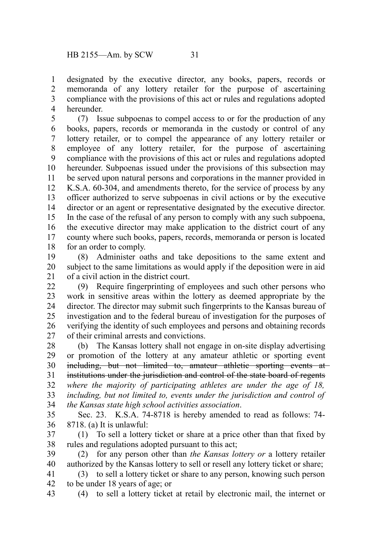designated by the executive director, any books, papers, records or memoranda of any lottery retailer for the purpose of ascertaining compliance with the provisions of this act or rules and regulations adopted hereunder. 1 2 3 4

(7) Issue subpoenas to compel access to or for the production of any books, papers, records or memoranda in the custody or control of any lottery retailer, or to compel the appearance of any lottery retailer or employee of any lottery retailer, for the purpose of ascertaining compliance with the provisions of this act or rules and regulations adopted hereunder. Subpoenas issued under the provisions of this subsection may be served upon natural persons and corporations in the manner provided in K.S.A. 60-304, and amendments thereto, for the service of process by any officer authorized to serve subpoenas in civil actions or by the executive director or an agent or representative designated by the executive director. In the case of the refusal of any person to comply with any such subpoena, the executive director may make application to the district court of any county where such books, papers, records, memoranda or person is located for an order to comply. 5 6 7 8 9 10 11 12 13 14 15 16 17 18

(8) Administer oaths and take depositions to the same extent and subject to the same limitations as would apply if the deposition were in aid of a civil action in the district court. 19 20 21

(9) Require fingerprinting of employees and such other persons who work in sensitive areas within the lottery as deemed appropriate by the director. The director may submit such fingerprints to the Kansas bureau of investigation and to the federal bureau of investigation for the purposes of verifying the identity of such employees and persons and obtaining records of their criminal arrests and convictions. 22 23 24 25 26 27

(b) The Kansas lottery shall not engage in on-site display advertising or promotion of the lottery at any amateur athletic or sporting event including, but not limited to, amateur athletic sporting events at institutions under the jurisdiction and control of the state board of regents *where the majority of participating athletes are under the age of 18, including, but not limited to, events under the jurisdiction and control of the Kansas state high school activities association*. 28 29 30 31 32 33 34

Sec. 23. K.S.A. 74-8718 is hereby amended to read as follows: 74- 8718. (a) It is unlawful: 35 36

(1) To sell a lottery ticket or share at a price other than that fixed by rules and regulations adopted pursuant to this act; 37 38

(2) for any person other than *the Kansas lottery or* a lottery retailer authorized by the Kansas lottery to sell or resell any lottery ticket or share; 39 40

(3) to sell a lottery ticket or share to any person, knowing such person to be under 18 years of age; or 41 42

(4) to sell a lottery ticket at retail by electronic mail, the internet or 43